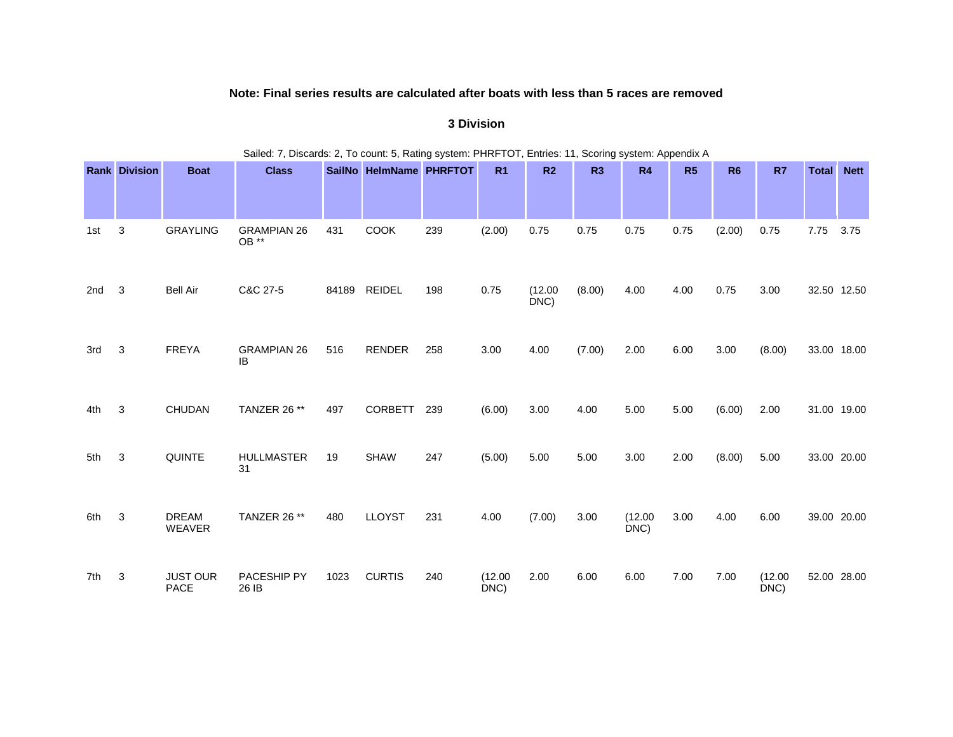## **Note: Final series results are calculated after boats with less than 5 races are removed**

**3 Division**

|     | Sailed: 7, Discards: 2, To count: 5, Rating system: PHRFTOT, Entries: 11, Scoring system: Appendix A |                               |                             |       |                         |     |                 |                 |        |                 |      |           |                 |              |             |
|-----|------------------------------------------------------------------------------------------------------|-------------------------------|-----------------------------|-------|-------------------------|-----|-----------------|-----------------|--------|-----------------|------|-----------|-----------------|--------------|-------------|
|     | <b>Rank Division</b>                                                                                 | <b>Boat</b>                   | <b>Class</b>                |       | SailNo HelmName PHRFTOT |     | R <sub>1</sub>  | R <sub>2</sub>  | R3     | R4              | R5   | <b>R6</b> | R7              | <b>Total</b> | <b>Nett</b> |
| 1st | 3                                                                                                    | <b>GRAYLING</b>               | <b>GRAMPIAN 26</b><br>OB ** | 431   | <b>COOK</b>             | 239 | (2.00)          | 0.75            | 0.75   | 0.75            | 0.75 | (2.00)    | 0.75            | 7.75         | 3.75        |
| 2nd | 3                                                                                                    | <b>Bell Air</b>               | C&C 27-5                    | 84189 | <b>REIDEL</b>           | 198 | 0.75            | (12.00)<br>DNC) | (8.00) | 4.00            | 4.00 | 0.75      | 3.00            | 32.50 12.50  |             |
| 3rd | 3                                                                                                    | <b>FREYA</b>                  | <b>GRAMPIAN 26</b><br>IB    | 516   | <b>RENDER</b>           | 258 | 3.00            | 4.00            | (7.00) | 2.00            | 6.00 | 3.00      | (8.00)          | 33.00 18.00  |             |
| 4th | 3                                                                                                    | <b>CHUDAN</b>                 | <b>TANZER 26 **</b>         | 497   | <b>CORBETT</b>          | 239 | (6.00)          | 3.00            | 4.00   | 5.00            | 5.00 | (6.00)    | 2.00            | 31.00 19.00  |             |
| 5th | 3                                                                                                    | QUINTE                        | <b>HULLMASTER</b><br>31     | 19    | <b>SHAW</b>             | 247 | (5.00)          | 5.00            | 5.00   | 3.00            | 2.00 | (8.00)    | 5.00            | 33.00 20.00  |             |
| 6th | 3                                                                                                    | <b>DREAM</b><br><b>WEAVER</b> | TANZER 26 **                | 480   | <b>LLOYST</b>           | 231 | 4.00            | (7.00)          | 3.00   | (12.00)<br>DNC) | 3.00 | 4.00      | 6.00            | 39.00 20.00  |             |
| 7th | 3                                                                                                    | <b>JUST OUR</b><br>PACE       | PACESHIP PY<br>26 IB        | 1023  | <b>CURTIS</b>           | 240 | (12.00)<br>DNC) | 2.00            | 6.00   | 6.00            | 7.00 | 7.00      | (12.00)<br>DNC) | 52.00 28.00  |             |